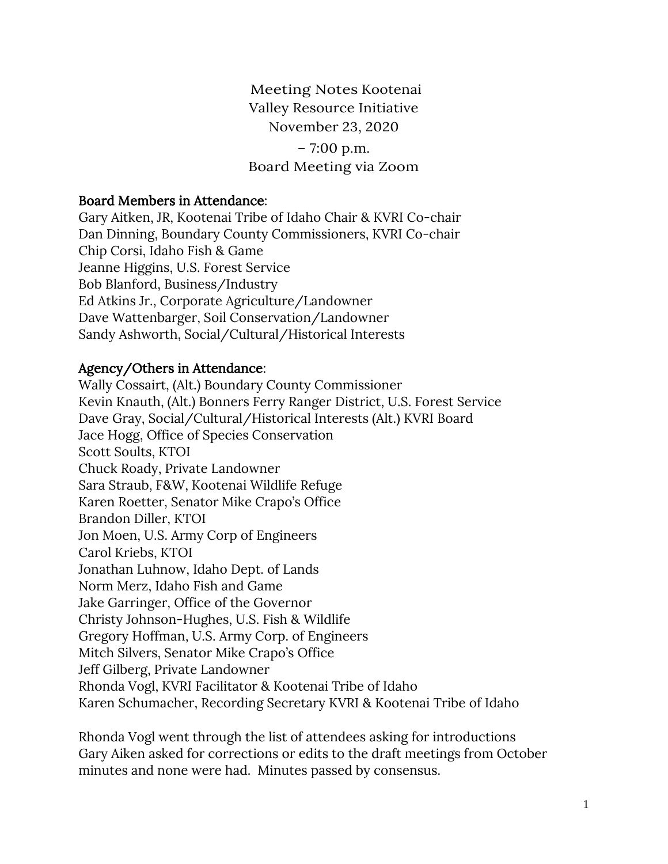Meeting Notes Kootenai Valley Resource Initiative November 23, 2020 – 7:00 p.m. Board Meeting via Zoom

## Board Members in Attendance:

Gary Aitken, JR, Kootenai Tribe of Idaho Chair & KVRI Co-chair Dan Dinning, Boundary County Commissioners, KVRI Co-chair Chip Corsi, Idaho Fish & Game Jeanne Higgins, U.S. Forest Service Bob Blanford, Business/Industry Ed Atkins Jr., Corporate Agriculture/Landowner Dave Wattenbarger, Soil Conservation/Landowner Sandy Ashworth, Social/Cultural/Historical Interests

## Agency/Others in Attendance:

Wally Cossairt, (Alt.) Boundary County Commissioner Kevin Knauth, (Alt.) Bonners Ferry Ranger District, U.S. Forest Service Dave Gray, Social/Cultural/Historical Interests (Alt.) KVRI Board Jace Hogg, Office of Species Conservation Scott Soults, KTOI Chuck Roady, Private Landowner Sara Straub, F&W, Kootenai Wildlife Refuge Karen Roetter, Senator Mike Crapo's Office Brandon Diller, KTOI Jon Moen, U.S. Army Corp of Engineers Carol Kriebs, KTOI Jonathan Luhnow, Idaho Dept. of Lands Norm Merz, Idaho Fish and Game Jake Garringer, Office of the Governor Christy Johnson-Hughes, U.S. Fish & Wildlife Gregory Hoffman, U.S. Army Corp. of Engineers Mitch Silvers, Senator Mike Crapo's Office Jeff Gilberg, Private Landowner Rhonda Vogl, KVRI Facilitator & Kootenai Tribe of Idaho Karen Schumacher, Recording Secretary KVRI & Kootenai Tribe of Idaho

Rhonda Vogl went through the list of attendees asking for introductions Gary Aiken asked for corrections or edits to the draft meetings from October minutes and none were had. Minutes passed by consensus.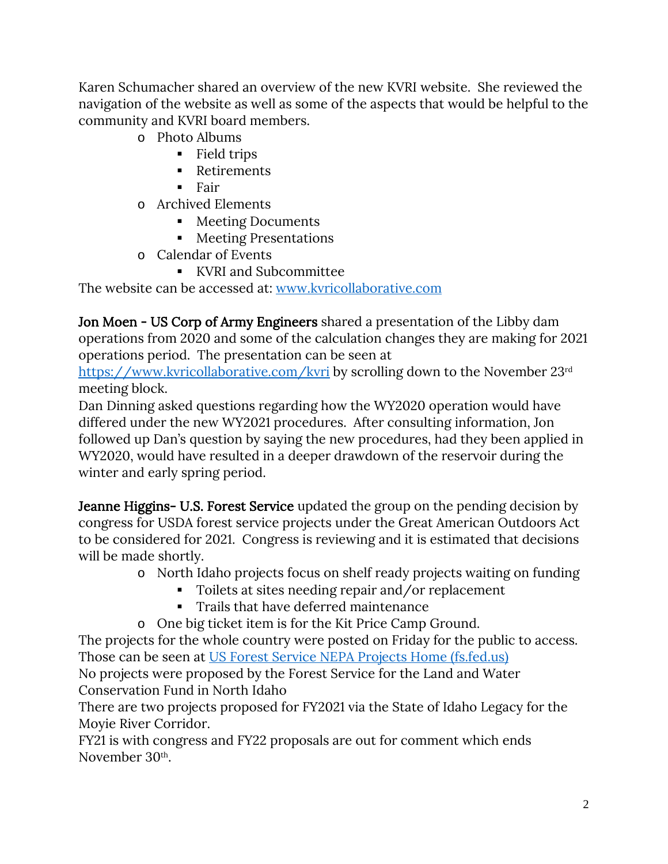Karen Schumacher shared an overview of the new KVRI website. She reviewed the navigation of the website as well as some of the aspects that would be helpful to the community and KVRI board members.

- o Photo Albums
	- Field trips
	- **Retirements**
	- $$
- o Archived Elements
	- Meeting Documents
	- Meeting Presentations
- o Calendar of Events
	- KVRI and Subcommittee

The website can be accessed at: [www.kvricollaborative.com](http://www.kvricollaborative.com/)

Jon Moen - US Corp of Army Engineers shared a presentation of the Libby dam operations from 2020 and some of the calculation changes they are making for 2021 operations period. The presentation can be seen at

[https://www.kvricollaborative.com/kvri](blockedhttps://www.kvricollaborative.com/kvri) by scrolling down to the November 23<sup>rd</sup> meeting block.

Dan Dinning asked questions regarding how the WY2020 operation would have differed under the new WY2021 procedures. After consulting information, Jon followed up Dan's question by saying the new procedures, had they been applied in WY2020, would have resulted in a deeper drawdown of the reservoir during the winter and early spring period.

Jeanne Higgins- U.S. Forest Service updated the group on the pending decision by congress for USDA forest service projects under the Great American Outdoors Act to be considered for 2021. Congress is reviewing and it is estimated that decisions will be made shortly.

- o North Idaho projects focus on shelf ready projects waiting on funding
	- Toilets at sites needing repair and/or replacement
	- Trails that have deferred maintenance
- o One big ticket item is for the Kit Price Camp Ground.

The projects for the whole country were posted on Friday for the public to access. Those can be seen at [US Forest Service NEPA Projects Home \(fs.fed.us\)](https://www.fs.fed.us/nepa/nepa_home.php) No projects were proposed by the Forest Service for the Land and Water Conservation Fund in North Idaho

There are two projects proposed for FY2021 via the State of Idaho Legacy for the Moyie River Corridor.

FY21 is with congress and FY22 proposals are out for comment which ends November 30th.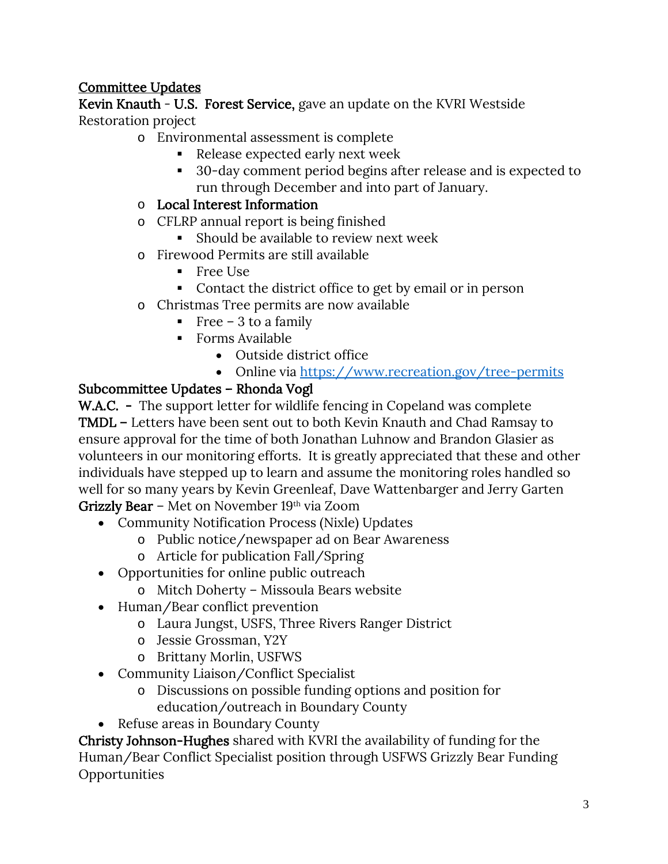## Committee Updates

Kevin Knauth - U.S. Forest Service, gave an update on the KVRI Westside Restoration project

- o Environmental assessment is complete
	- Release expected early next week
	- 30-day comment period begins after release and is expected to run through December and into part of January.
- o Local Interest Information
- o CFLRP annual report is being finished
	- Should be available to review next week
- o Firewood Permits are still available
	- Free Use
	- Contact the district office to get by email or in person
- o Christmas Tree permits are now available
	- Free 3 to a family
	- Forms Available
		- Outside district office
		- Online via<https://www.recreation.gov/tree-permits>

## Subcommittee Updates – Rhonda Vogl

W.A.C. - The support letter for wildlife fencing in Copeland was complete TMDL – Letters have been sent out to both Kevin Knauth and Chad Ramsay to ensure approval for the time of both Jonathan Luhnow and Brandon Glasier as volunteers in our monitoring efforts. It is greatly appreciated that these and other individuals have stepped up to learn and assume the monitoring roles handled so well for so many years by Kevin Greenleaf, Dave Wattenbarger and Jerry Garten Grizzly Bear – Met on November 19th via Zoom

- Community Notification Process (Nixle) Updates
	- o Public notice/newspaper ad on Bear Awareness
	- o Article for publication Fall/Spring
- Opportunities for online public outreach
	- o Mitch Doherty Missoula Bears website
- Human/Bear conflict prevention
	- o Laura Jungst, USFS, Three Rivers Ranger District
	- o Jessie Grossman, Y2Y
	- o Brittany Morlin, USFWS
- Community Liaison/Conflict Specialist
	- o Discussions on possible funding options and position for education/outreach in Boundary County
- Refuse areas in Boundary County

Christy Johnson-Hughes shared with KVRI the availability of funding for the Human/Bear Conflict Specialist position through USFWS Grizzly Bear Funding **Opportunities**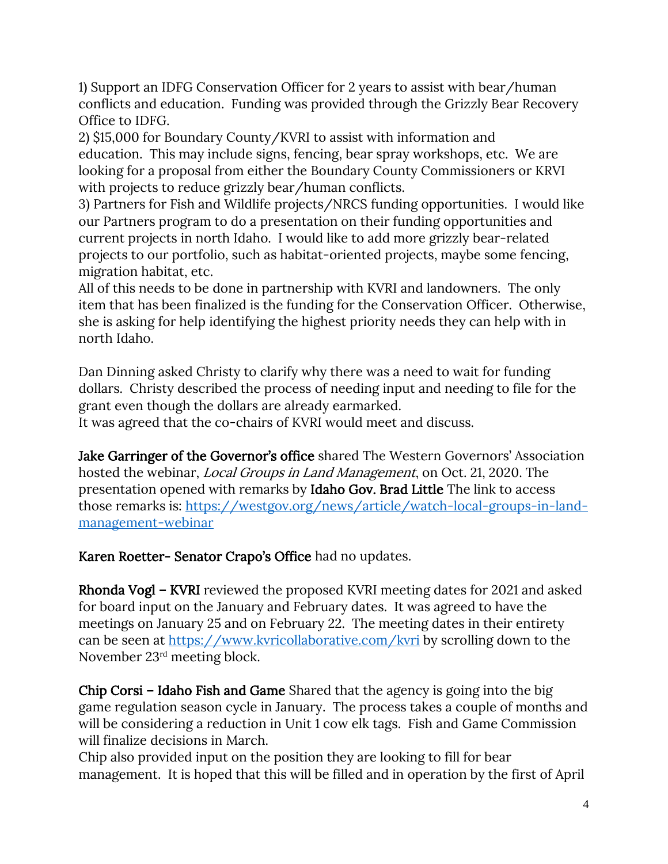1) Support an IDFG Conservation Officer for 2 years to assist with bear/human conflicts and education. Funding was provided through the Grizzly Bear Recovery Office to IDFG.

2) \$15,000 for Boundary County/KVRI to assist with information and education. This may include signs, fencing, bear spray workshops, etc. We are looking for a proposal from either the Boundary County Commissioners or KRVI with projects to reduce grizzly bear/human conflicts.

3) Partners for Fish and Wildlife projects/NRCS funding opportunities. I would like our Partners program to do a presentation on their funding opportunities and current projects in north Idaho. I would like to add more grizzly bear-related projects to our portfolio, such as habitat-oriented projects, maybe some fencing, migration habitat, etc.

All of this needs to be done in partnership with KVRI and landowners. The only item that has been finalized is the funding for the Conservation Officer. Otherwise, she is asking for help identifying the highest priority needs they can help with in north Idaho.

Dan Dinning asked Christy to clarify why there was a need to wait for funding dollars. Christy described the process of needing input and needing to file for the grant even though the dollars are already earmarked.

It was agreed that the co-chairs of KVRI would meet and discuss.

Jake Garringer of the Governor's office shared The Western Governors' Association hosted the webinar, Local Groups in Land Management, on Oct. 21, 2020. The presentation opened with remarks by Idaho Gov. Brad Little The link to access those remarks is: [https://westgov.org/news/article/watch-local-groups-in-land](https://westgov.org/news/article/watch-local-groups-in-land-management-webinar)[management-webinar](https://westgov.org/news/article/watch-local-groups-in-land-management-webinar)

Karen Roetter- Senator Crapo's Office had no updates.

Rhonda Vogl – KVRI reviewed the proposed KVRI meeting dates for 2021 and asked for board input on the January and February dates. It was agreed to have the meetings on January 25 and on February 22. The meeting dates in their entirety can be seen at<https://www.kvricollaborative.com/kvri> by scrolling down to the November 23rd meeting block.

Chip Corsi – Idaho Fish and Game Shared that the agency is going into the big game regulation season cycle in January. The process takes a couple of months and will be considering a reduction in Unit 1 cow elk tags. Fish and Game Commission will finalize decisions in March.

Chip also provided input on the position they are looking to fill for bear management. It is hoped that this will be filled and in operation by the first of April